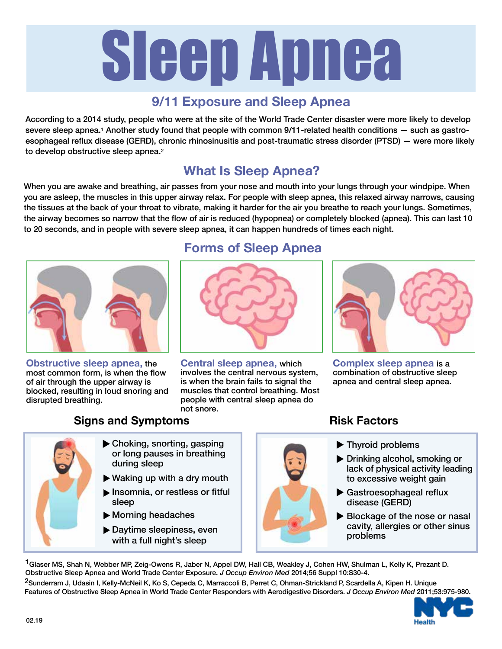# Sleep Apnea

### **9/11 Exposure and Sleep Apnea**

According to a 2014 study, people who were at the site of the World Trade Center disaster were more likely to develop severe sleep apnea.<sup>1</sup> Another study found that people with common 9/11-related health conditions - such as gastroesophageal reflux disease (GERD), chronic rhinosinusitis and post-traumatic stress disorder (PTSD) — were more likely to develop obstructive sleep apnea.2

# **What Is Sleep Apnea?**

When you are awake and breathing, air passes from your nose and mouth into your lungs through your windpipe. When you are asleep, the muscles in this upper airway relax. For people with sleep apnea, this relaxed airway narrows, causing the tissues at the back of your throat to vibrate, making it harder for the air you breathe to reach your lungs. Sometimes, the airway becomes so narrow that the flow of air is reduced (hypopnea) or completely blocked (apnea). This can last 10 to 20 seconds, and in people with severe sleep apnea, it can happen hundreds of times each night.



**Obstructive sleep apnea,** the most common form, is when the flow of air through the upper airway is blocked, resulting in loud snoring and disrupted breathing.

## **Forms of Sleep Apnea**



**Central sleep apnea,** which involves the central nervous system, is when the brain fails to signal the muscles that control breathing. Most people with central sleep apnea do not snore.



**Complex sleep apnea** is a combination of obstructive sleep apnea and central sleep apnea.

#### **Signs and Symptoms**

- Choking, snorting, gasping t or long pauses in breathing during sleep Waking up with a dry mouth t Insomnia, or restless or fitful sleep
	- Morning headaches t
	- ▶ Daytime sleepiness, even with a full night's sleep

**Risk Factors**

- ▶ Thyroid problems **Drinking alcohol, smoking or** 
	- lack of physical activity leading to excessive weight gain
	- Gastroesophageal reflux t disease (GERD)
	- Blockage of the nose or nasal cavity, allergies or other sinus problems

<sup>1</sup>Glaser MS, Shah N, Webber MP, Zeig-Owens R, Jaber N, Appel DW, Hall CB, Weakley J, Cohen HW, Shulman L, Kelly K, Prezant D. Obstructive Sleep Apnea and World Trade Center Exposure. *J Occup Environ Med* 2014;56 Suppl 10:S30-4.

<sup>2</sup>Sunderram J, Udasin I, Kelly-McNeil K, Ko S, Cepeda C, Marraccoli B, Perret C, Ohman-Strickland P, Scardella A, Kipen H. Unique Features of Obstructive Sleep Apnea in World Trade Center Responders with Aerodigestive Disorders. *J Occup Environ Med* 2011;53:975-980.